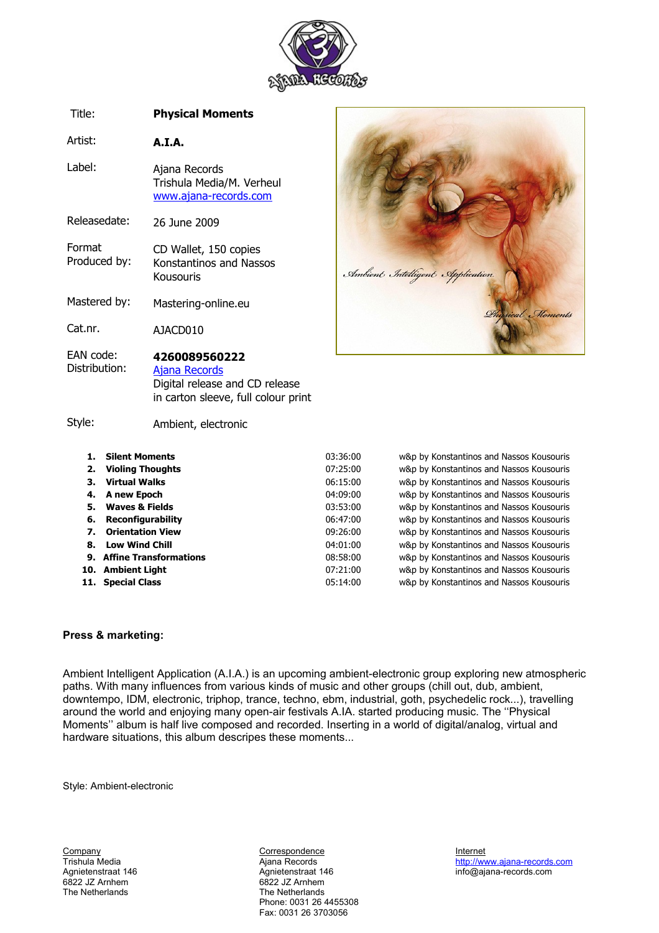

#### Title: **Physical Moments**

Artist: **A.I.A.**

Label: Ajana Records Trishula Media/M. Verheul [www.ajana-records.com](http://www.ajana-records.com/)

Releasedate: 26 June 2009

- Format Produced by: CD Wallet, 150 copies Konstantinos and Nassos Kousouris
- Mastered by: Mastering-online.eu

Cat.nr. AJACD010

#### EAN code: Distribution: **4260089560222** [Ajana Records](http://www.ajana-records.com/ajacd010.htm)

Digital release and CD release in carton sleeve, full colour print

#### Style:

Ambient, electronic

| <b>Silent Moments</b>     | 03:36:00                                                                                                                                 | w&p by Konstantinos and Nassos Kousouris |
|---------------------------|------------------------------------------------------------------------------------------------------------------------------------------|------------------------------------------|
| <b>Violing Thoughts</b>   | 07:25:00                                                                                                                                 | w&p by Konstantinos and Nassos Kousouris |
| <b>Virtual Walks</b>      | 06:15:00                                                                                                                                 | w&p by Konstantinos and Nassos Kousouris |
|                           | 04:09:00                                                                                                                                 | w&p by Konstantinos and Nassos Kousouris |
| <b>Waves &amp; Fields</b> | 03:53:00                                                                                                                                 | w&p by Konstantinos and Nassos Kousouris |
|                           | 06:47:00                                                                                                                                 | w&p by Konstantinos and Nassos Kousouris |
| <b>Orientation View</b>   | 09:26:00                                                                                                                                 | w&p by Konstantinos and Nassos Kousouris |
|                           | 04:01:00                                                                                                                                 | w&p by Konstantinos and Nassos Kousouris |
|                           | 08:58:00                                                                                                                                 | w&p by Konstantinos and Nassos Kousouris |
|                           | 07:21:00                                                                                                                                 | w&p by Konstantinos and Nassos Kousouris |
|                           | 05:14:00                                                                                                                                 | w&p by Konstantinos and Nassos Kousouris |
| З.                        | 4. A new Epoch<br>5.<br>6. Reconfigurability<br>8. Low Wind Chill<br>9. Affine Transformations<br>10. Ambient Light<br>11. Special Class |                                          |

Ambient Intelligent Application

Moments

### **Press & marketing:**

Ambient Intelligent Application (A.I.A.) is an upcoming ambient-electronic group exploring new atmospheric paths. With many influences from various kinds of music and other groups (chill out, dub, ambient, downtempo, IDM, electronic, triphop, trance, techno, ebm, industrial, goth, psychedelic rock...), travelling around the world and enjoying many open-air festivals A.IA. started producing music. The ''Physical Moments'' album is half live composed and recorded. Inserting in a world of digital/analog, virtual and hardware situations, this album descripes these moments...

Style: Ambient-electronic

The Netherlands

Eompany Correspondence Company Correspondence internet internet internet internet internet company controller<br>
Trishula Media **Internet in the Controller Controller Controller Controller Controller Controller Controller Co** Agnietenstraat 146 Agnietenstraat 146 info@ajana-records.com 6822 JZ Arnhem<br>The Netherlands Phone: 0031 26 4455308 Fax: 0031 26 3703056

Trishula Media **Ajana Records** Ajana Records **[http://www.ajana-records.com](http://www.ajana-records.com/)**<br>Agnietenstraat 146 Agnietenstraat 146 http://www.ajana-records.com